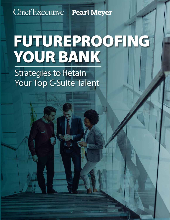## Chief Executive | Pearl Meyer

# FUTUREPROOFING YOUR BANK

Strategies to Retain Your Top C-Suite Talent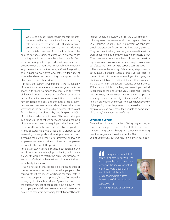wo C-Suite executives poached in the same month, just one qualified applicant for a financial reporting role over a six-month search, a CFO lured away with astronomical compensation—there's no denying that the talent war tales from the front lines of the banking sector are grim. At a time when Americans are changing jobs in record numbers, banks are far from alone in dealing with unprecedented employee turnover. However, the industry's talent challenges emerged long before the advent of today's Great Resignation, agreed banking executives who gathered for a recent roundtable discussion on retaining talent sponsored by Chief Executive and Pearl Meyer. wo<br>
just<br>
role<br>
astr<br>
tha<br>
banking<br>
changin

In fact, the current environment is the culmination of more than a decade of massive change as banks responded to shrinking branch footprints and the threat of fintech disruption by ramping up efforts toward digital transformation. "As financial institutions evolve in this new landscape, the skills and attributes of team members we need to move us forward are different than what we've had in the past, and it is highly competitive to get folks with those specialized skills," said Greg Mitchell, CEO of First Tech Federal Credit Union. "We face challenges in picking up the talent we need, and we've become a bit of a factory for executives going to other institutions."

The workforce upheaval ushered in by the pandemic only exacerbated those difficulties. A propensity for reassessing career goals and work practices has been sweeping the nation, leading to turnover at all levels as employees reevaluate their commitments to employers along with their work-life priorities. Fierce competition for digitally savvy talent is making both retention and recruitment more challenging for banks, which were already struggling to match the allure and financial rewards on offer both within the financial services industry as well as by tech firms.

"Banks have all of those broader pressures and then, of course, the issues associated with whether people will be coming into offices or even working in the same state in which the company is incorporated," noted Dan Wetzel, a managing director at Pearl Meyer. "Against that backdrop, the question for a lot of banks right now is, how will we attract people, and do we have sufficient stickiness associated with how we're developing talent that we'll be able

to retain people, particularly those in the C-Suite pipeline?"

It's a question that resonates with banking executives like Sally Hopkins, CEO of FNB Bank. "Sometimes we can't give people opportunities fast enough to keep them," she said. "They don't want to hang on as long as we need them to in order to get to the next level. We lost two members of our IT team last year to jobs where they could work at home five days a week making more money by working for a company out of state and never having to darken a business door."

Like many in the industry, FNB is taking steps to combat turnover, including taking a proactive approach to communicating its value as an employer. "Each year, we distribute a total compensation statement that shows salary, the bank's payment toward insurance benefits and its 401k match, which is something we do each pay period rather than at the end of the year," explained Hopkins. "We put every benefit we provide on there and people are always amazed by how big that number is." In an effort to retain entry-level employees from being lured away by higher-paying industries, the company also raised its base pay pay to \$15 an hour, more than double its home state of Kentucky's minimum wage of \$7.25.

#### **Leveraging Loyalty**

Competition from companies offering higher wages is also becoming an issue for CoastHills Credit Union. Demonstrating caring through its pandemic operating practices engendered loyalty from the \$1.6 billion credit union's employees, but that may now be waning, report-

> The question for a lot of banks right now is, how will we attract people, and do we have sufficient stickiness associated with how we're developing talent that we'll be able to retain people, particularly those in the C-Suite pipeline."

> —Dan Wetzel, Managing Director, Pearl Meyer

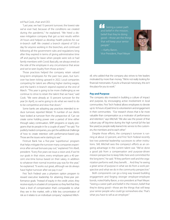ed Paul Cook, chair and CEO.

"Last year, we had 13 percent turnover, the lowest rate we've ever had, because of the conditions we created during the pandemic," he explained. "We hired a disease mitigation company that got us test results within 24 hours and helped us develop health policies for our in-branch staff. We created a branch stipend of \$20 a day for anyone working in the branches, and continued following all the government rules and regulations long after they expired in terms of giving administrative time off and paying for leave when people were sick or had family members with Covid. Basically, we always erred on the side of the employee in any circumstance that arose and we've seen loyalty from those actions."

Those practices helped the company retain valued long-term employees for the past two years, but turnover has been ticking upward in 2022. Local companies competing for talent are offering higher starting wages, and the bank's in-branch stipend expired at the end of March. "This year is going to be more challenging as we continue to strive to retain the talent that we have," said Cook. "We were already at 13 percent turnover for the year [in April], so we're going to do what we need to do to be competitive and slow that down."

Some banks are adopting pay practices intended to reduce turnover, reported Wetzel. "A number of our clients have looked at turnover from the perspective of, 'Can we create some holding power over a period of time either through salary continuation, SERP programs or equity programs that tie people in for a couple of years?'" he said. "For publicly traded companies, you get the additional challenge of how to create retention with performance-based pay. Those are the issues we're starting to see."

Firstrust Bank has a five-year 'superbonus' program that helps mitigate the turnover many companies experience after annual bonuses pay out," explained Tim Abell, president. "Every five years we issue a vision and, if we hit our goals in that vision, every employee gets a 40 percent one-time bonus based on their salary, in addition to whatever their normal incentive pay was for the year," he explained. "It works out great, although we do always have higher turnover after we pay it out."

First Tech Federal uses a phantom option program to reward executive leadership for attaining three-year performance goals. "Instead of equity in the credit union, they receive equity in a basket of companies so they feel that they have a level of compensation that's comparable to what they see in the market, with a little less concentration of risk as it relates to an individual company," explained MitchSeeing a career path and belief in the mission, belief that they're doing good—those are the things that will keep your senior people."



—Kathy Baron, Vice President, Pearl Meyer

ell, who added that the company also strives to hire leaders motivated by more than money. "We're not really looking for financial mercenaries. If you're a financial mercenary, this isn't the place for you to work."

#### **Pay and Purpose**

The company also invested in building a culture of impact and purpose, by encouraging active involvement in local communities. First Tech Federal allows employees to devote up to 16 hours of paid time to volunteerism and engagement in their communities. "Our research shows that is far more valuable than compensation as a motivator of performance and retention," says Mitchell. "We also saw the power of that culture pay off big-time during the high turmoil [of the last few years] as people really leaned into service to the customers, the members and to each other."

Despite those efforts, the company's turnover is running at about 22 percent, and First Tech Federal recently lost two potential leadership successors to other institutions. Still, Mitchell sees the company's efforts as an ongoing advantage in the current talent war. "We've done a good job from a compensation and purpose-driven mission perspective to keep folks here and committed for the long term," he said. "If they perform well and the organization performs well, they benefit… And they''re seeing a great sense of purpose in what we do from a work perspective and what we do in the community perspective."

Both components can go a long way toward building engagement and forging stronger employer-employee bonds, noted Kathy Baron, a vice president at Pearl Meyer. "Seeing a career path and belief in the mission, belief that they're doing good—those are the things that will keep your senior people who could go somewhere else. That's what you have to sell as an employer."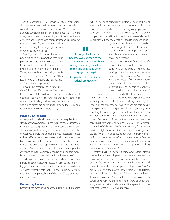Shruti Miyashiro, CEO of Orange County's Credit Union, also sees retention value in an "employer brand" founded in commitment to a purpose-driven mission. "A credit union is a people-centered business," she pointed out. "So, why we're doing the work and what's exciting about it—issues like underserved and underbanked communities and rising income

inequality—are of great concern to all of us, and especially the younger generations coming into the workplace."

Opening lines of communication can play a critical role in promoting that value proposition, added Baron, who cautioned leaders not to wait until an employee is heading out the door to solicit feedback. "Doing exit interviews is like driving by looking in the rearview mirror," she said. "They just tell you why people are leaving, they don't stop it from happening."

Instead, she recommended "stay interviews," informal 15-minute sessions that

take the pulse of the workplace. "Talk to people about what energizes them every day, what do they love about their work? Understanding and focusing on those cultural, mission-driven pieces can be the key for keeping the C-Suite and levels below from being plucked away."

#### **Driving Development**

An emphasis on development is another way banks can stand out from competitors in the talent arena. At First United Bank & Trust, recognition that the company's entire leadership team would be retiring within four to seven years led the company to identify and begin grooming successors. "I meet with my C-Suite team once a week, and once a month we bring those four or five next-level people into those meetings to help bring them up the curve," said CEO Carissa Rodeheaver. "We also have an individual development plan for every person in the company aimed at ensuring that everybody is developing people throughout the company."

Rodeheaver also presents her C-Suite direct reports and next-level down executive succession plan to the nominating/governance and compensation committee annually. "It's very clear what the path looks like should the bus get any one of us at any particular time," she said. "That's been very important to us."

#### **Reassessing Remote**

Despite these measures, First United Bank & Trust struggles

to fill key positions, particularly now that residents of the rural area in which it operates are able to work remotely for companies located elsewhere. "That's causing a wage pressure for us and, unfortunately, empty seats," she said, adding that the company also had difficulty meeting employees' demands for flexible work arrangements. "We tried to introduce flexibil-

> ity because people wanted to move but now we've got to deal with the tax implications of filing payroll reports in four or five different states where we have one or two people working."

> In addition to the financial ramifications, there's also broad acknowledgement of the cultural hurdles that moving to a fully remote model may bring over the long term. "When folks are disconnected from their coworkers and from their culture, the level of loyalty is diminished," said Mitchell. "So we're working to minimize the level of

remote work by going to hybrid rather than fully remote. I think organizations that become overexposed to the work-anywhere model will have challenges keeping the wheels on the bus, especially when things get hard again."

Despite the challenges, employers generally see adapting to some degree of remote work model as an imperative in the current talent environment. "In a recent survey, 80 percent of our staff said they don't want to come back to work," reported Ash Patel, CEO of Commercial Bank of California. "We're interviewing for 15 open positions right now and the first questions we get are usually, 'What is your policy about working from home?' or 'Do you have flex hours?' And if the answer is, 'We require you to come in,' they don't even want to apply. So we've completely changed our philosophy on working from home and flex hours."

That trend will, in turn, make finding ways to forge strong connections with employees and to underscore the company's value proposition for employees all the more important. "You want to create a culture where when a call comes in from a headhunter, your employee says, "No, I'm not interested,' instead of, 'I'd like to hear more,'" said Baron. "Accomplishing that is about all of these things combined. It's communication; it's recognition; it's compensation; it's career development, but most importantly, it's about creating a culture that is collaborate and transparent. If you do that, that's what will retain your people."

# "I think organizations that

become overexposed to the work-anywhere model will have challenges keeping the wheels on the bus, especially when things get hard again." —Greg Mitchell, CEO, First Tech Federal Credit Union